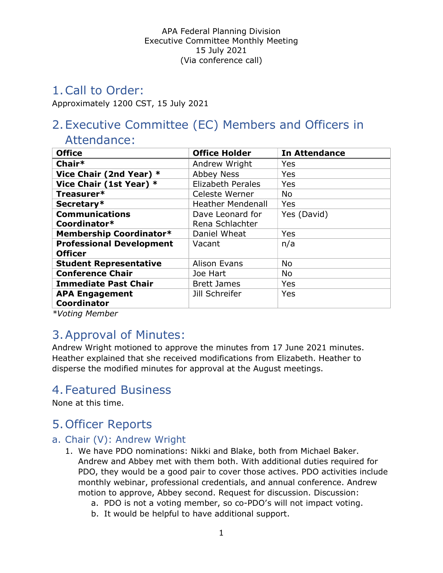# 1.Call to Order:

Approximately 1200 CST, 15 July 2021

# 2.Executive Committee (EC) Members and Officers in

# Attendance:

| <b>Office</b>                   | <b>Office Holder</b>     | <b>In Attendance</b> |
|---------------------------------|--------------------------|----------------------|
| Chair*                          | Andrew Wright            | Yes                  |
| Vice Chair (2nd Year) *         | <b>Abbey Ness</b>        | Yes                  |
| Vice Chair (1st Year) *         | <b>Elizabeth Perales</b> | Yes                  |
| Treasurer*                      | Celeste Werner           | <b>No</b>            |
| Secretary*                      | <b>Heather Mendenall</b> | Yes                  |
| <b>Communications</b>           | Dave Leonard for         | Yes (David)          |
| Coordinator*                    | Rena Schlachter          |                      |
| Membership Coordinator*         | Daniel Wheat             | Yes                  |
| <b>Professional Development</b> | Vacant                   | n/a                  |
| <b>Officer</b>                  |                          |                      |
| <b>Student Representative</b>   | Alison Evans             | No                   |
| <b>Conference Chair</b>         | Joe Hart                 | <b>No</b>            |
| <b>Immediate Past Chair</b>     | <b>Brett James</b>       | <b>Yes</b>           |
| <b>APA Engagement</b>           | Jill Schreifer           | Yes                  |
| Coordinator                     |                          |                      |

\*Voting Member

# 3.Approval of Minutes:

Andrew Wright motioned to approve the minutes from 17 June 2021 minutes. Heather explained that she received modifications from Elizabeth. Heather to disperse the modified minutes for approval at the August meetings.

# 4.Featured Business

None at this time.

# 5.Officer Reports

### a. Chair (V): Andrew Wright

- 1. We have PDO nominations: Nikki and Blake, both from Michael Baker. Andrew and Abbey met with them both. With additional duties required for PDO, they would be a good pair to cover those actives. PDO activities include monthly webinar, professional credentials, and annual conference. Andrew motion to approve, Abbey second. Request for discussion. Discussion:
	- a. PDO is not a voting member, so co-PDO's will not impact voting.
	- b. It would be helpful to have additional support.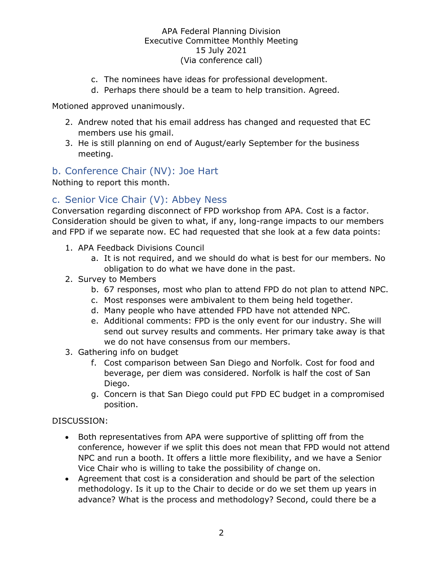- c. The nominees have ideas for professional development.
- d. Perhaps there should be a team to help transition. Agreed.

Motioned approved unanimously.

- 2. Andrew noted that his email address has changed and requested that EC members use his gmail.
- 3. He is still planning on end of August/early September for the business meeting.

# b. Conference Chair (NV): Joe Hart

Nothing to report this month.

# c. Senior Vice Chair (V): Abbey Ness

Conversation regarding disconnect of FPD workshop from APA. Cost is a factor. Consideration should be given to what, if any, long-range impacts to our members and FPD if we separate now. EC had requested that she look at a few data points:

- 1. APA Feedback Divisions Council
	- a. It is not required, and we should do what is best for our members. No obligation to do what we have done in the past.
- 2. Survey to Members
	- b. 67 responses, most who plan to attend FPD do not plan to attend NPC.
	- c. Most responses were ambivalent to them being held together.
	- d. Many people who have attended FPD have not attended NPC.
	- e. Additional comments: FPD is the only event for our industry. She will send out survey results and comments. Her primary take away is that we do not have consensus from our members.
- 3. Gathering info on budget
	- f. Cost comparison between San Diego and Norfolk. Cost for food and beverage, per diem was considered. Norfolk is half the cost of San Diego.
	- g. Concern is that San Diego could put FPD EC budget in a compromised position.

#### DISCUSSION:

- Both representatives from APA were supportive of splitting off from the conference, however if we split this does not mean that FPD would not attend NPC and run a booth. It offers a little more flexibility, and we have a Senior Vice Chair who is willing to take the possibility of change on.
- Agreement that cost is a consideration and should be part of the selection methodology. Is it up to the Chair to decide or do we set them up years in advance? What is the process and methodology? Second, could there be a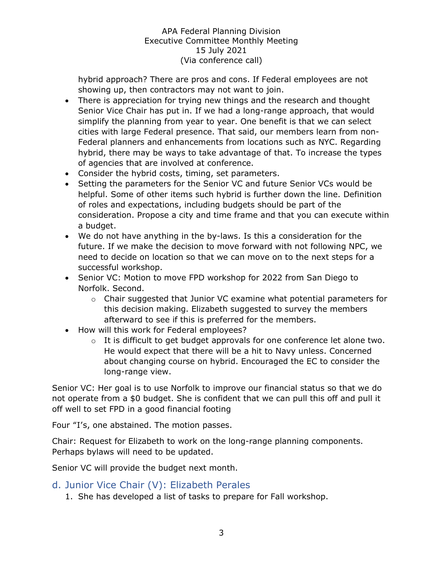hybrid approach? There are pros and cons. If Federal employees are not showing up, then contractors may not want to join.

- There is appreciation for trying new things and the research and thought Senior Vice Chair has put in. If we had a long-range approach, that would simplify the planning from year to year. One benefit is that we can select cities with large Federal presence. That said, our members learn from non-Federal planners and enhancements from locations such as NYC. Regarding hybrid, there may be ways to take advantage of that. To increase the types of agencies that are involved at conference.
- Consider the hybrid costs, timing, set parameters.
- Setting the parameters for the Senior VC and future Senior VCs would be helpful. Some of other items such hybrid is further down the line. Definition of roles and expectations, including budgets should be part of the consideration. Propose a city and time frame and that you can execute within a budget.
- We do not have anything in the by-laws. Is this a consideration for the future. If we make the decision to move forward with not following NPC, we need to decide on location so that we can move on to the next steps for a successful workshop.
- Senior VC: Motion to move FPD workshop for 2022 from San Diego to Norfolk. Second.
	- o Chair suggested that Junior VC examine what potential parameters for this decision making. Elizabeth suggested to survey the members afterward to see if this is preferred for the members.
- How will this work for Federal employees?
	- o It is difficult to get budget approvals for one conference let alone two. He would expect that there will be a hit to Navy unless. Concerned about changing course on hybrid. Encouraged the EC to consider the long-range view.

Senior VC: Her goal is to use Norfolk to improve our financial status so that we do not operate from a \$0 budget. She is confident that we can pull this off and pull it off well to set FPD in a good financial footing

Four "I's, one abstained. The motion passes.

Chair: Request for Elizabeth to work on the long-range planning components. Perhaps bylaws will need to be updated.

Senior VC will provide the budget next month.

- d. Junior Vice Chair (V): Elizabeth Perales
	- 1. She has developed a list of tasks to prepare for Fall workshop.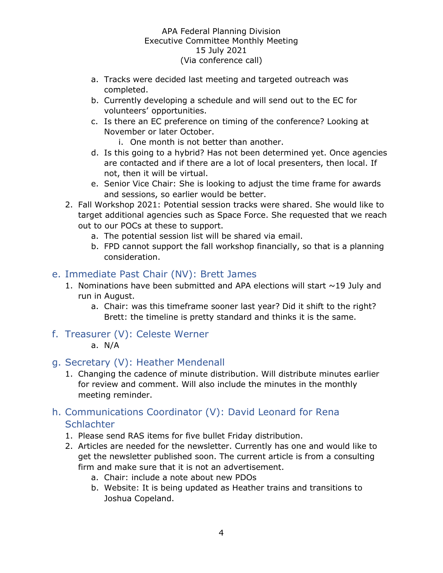- a. Tracks were decided last meeting and targeted outreach was completed.
- b. Currently developing a schedule and will send out to the EC for volunteers' opportunities.
- c. Is there an EC preference on timing of the conference? Looking at November or later October.
	- i. One month is not better than another.
- d. Is this going to a hybrid? Has not been determined yet. Once agencies are contacted and if there are a lot of local presenters, then local. If not, then it will be virtual.
- e. Senior Vice Chair: She is looking to adjust the time frame for awards and sessions, so earlier would be better.
- 2. Fall Workshop 2021: Potential session tracks were shared. She would like to target additional agencies such as Space Force. She requested that we reach out to our POCs at these to support.
	- a. The potential session list will be shared via email.
	- b. FPD cannot support the fall workshop financially, so that is a planning consideration.

# e. Immediate Past Chair (NV): Brett James

- 1. Nominations have been submitted and APA elections will start  $\sim$ 19 July and run in August.
	- a. Chair: was this timeframe sooner last year? Did it shift to the right? Brett: the timeline is pretty standard and thinks it is the same.
- f. Treasurer (V): Celeste Werner
	- a. N/A

### g. Secretary (V): Heather Mendenall

1. Changing the cadence of minute distribution. Will distribute minutes earlier for review and comment. Will also include the minutes in the monthly meeting reminder.

# h. Communications Coordinator (V): David Leonard for Rena **Schlachter**

- 1. Please send RAS items for five bullet Friday distribution.
- 2. Articles are needed for the newsletter. Currently has one and would like to get the newsletter published soon. The current article is from a consulting firm and make sure that it is not an advertisement.
	- a. Chair: include a note about new PDOs
	- b. Website: It is being updated as Heather trains and transitions to Joshua Copeland.